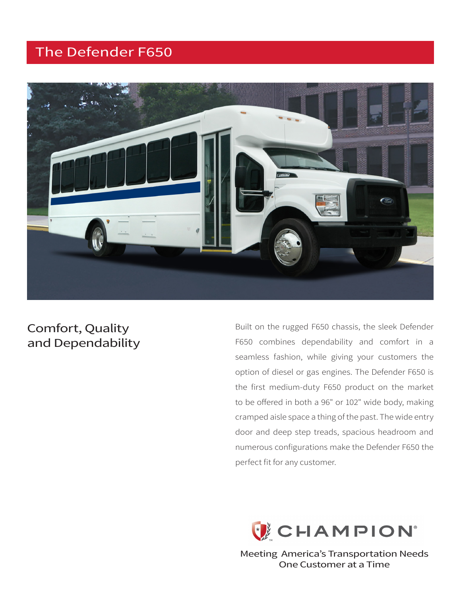# The Defender F650



### Comfort, Quality and Dependability

Built on the rugged F650 chassis, the sleek Defender F650 combines dependability and comfort in a seamless fashion, while giving your customers the option of diesel or gas engines. The Defender F650 is the first medium-duty F650 product on the market to be offered in both a 96" or 102" wide body, making cramped aisle space a thing of the past. The wide entry door and deep step treads, spacious headroom and numerous configurations make the Defender F650 the perfect fit for any customer.



Meeting America's Transportation Needs One Customer at a Time